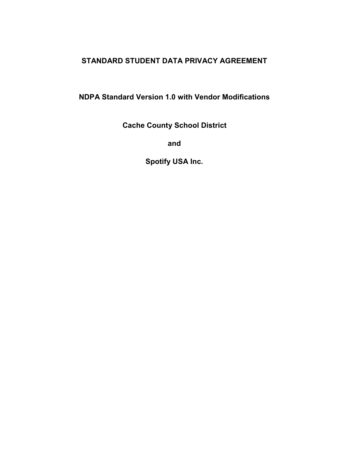## **STANDARD STUDENT DATA PRIVACY AGREEMENT**

**NDPA Standard Version 1.0 with Vendor Modifications**

**Cache County School District**

**and**

**Spotify USA Inc.**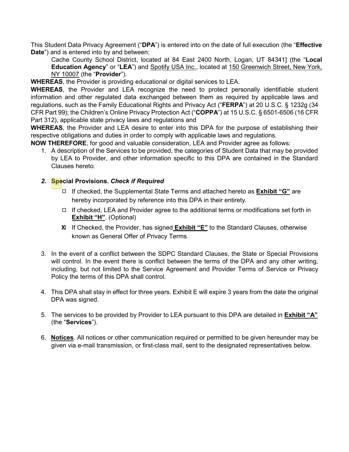This Student Data Privacy Agreement ("**DPA**") is entered into on the date of full execution (the "**Effective Date**") and is entered into by and between:

Cache County School District, located at 84 East 2400 North, Logan, UT 84341] (the "**Local Education Agency**" or "**LEA**") and Spotify USA Inc., located at 150 Greenwich Street, New York, NY 10007 (the "**Provider**").

**WHEREAS**, the Provider is providing educational or digital services to LEA.

**WHEREAS**, the Provider and LEA recognize the need to protect personally identifiable student information and other regulated data exchanged between them as required by applicable laws and regulations, such as the Family Educational Rights and Privacy Act ("**FERPA**") at 20 U.S.C. § 1232g (34 CFR Part 99); the Children's Online Privacy Protection Act ("**COPPA**") at 15 U.S.C. § 6501-6506 (16 CFR Part 312), applicable state privacy laws and regulations and

**WHEREAS**, the Provider and LEA desire to enter into this DPA for the purpose of establishing their respective obligations and duties in order to comply with applicable laws and regulations.

**NOW THEREFORE**, for good and valuable consideration, LEA and Provider agree as follows:

1. A description of the Services to be provided, the categories of Student Data that may be provided by LEA to Provider, and other information specific to this DPA are contained in the Standard Clauses hereto.

#### *2.* **Special Provisions.** *Check if Required*

- ◻ If checked, the Supplemental State Terms and attached hereto as **Exhibit "G"** are hereby incorporated by reference into this DPA in their entirety.
- ◻ If checked, LEA and Provider agree to the additional terms or modifications set forth in **Exhibit "H"**. (Optional)
- ◻ If Checked, the Provider, has signed **Exhibit "E"** to the Standard Clauses, otherwise Xknown as General Offer of Privacy Terms
- 3. In the event of a conflict between the SDPC Standard Clauses, the State or Special Provisions will control. In the event there is conflict between the terms of the DPA and any other writing, including, but not limited to the Service Agreement and Provider Terms of Service or Privacy Policy the terms of this DPA shall control.
- 4. This DPA shall stay in effect for three years. Exhibit E will expire 3 years from the date the original DPA was signed.
- 5. The services to be provided by Provider to LEA pursuant to this DPA are detailed in **Exhibit "A"** (the "**Services**").
- 6. **Notices**. All notices or other communication required or permitted to be given hereunder may be given via e-mail transmission, or first-class mail, sent to the designated representatives below.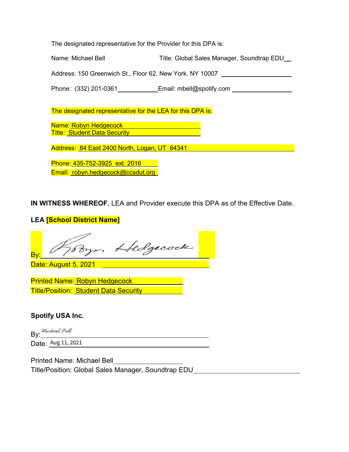The designated representative for the Provider for this DPA is:

Name: Michael Bell Title: Global Sales Manager, Soundtrap EDU

Address: 150 Greenwich St., Floor 62, New York, NY 10007

Phone: (332) 201-0361 Email: mbell@spotify.com

The designated representative for the LEA for this DPA is:

Name: Robyn Hedgecock **Title: Student Data Security** 

Address: 84 East 2400 North, Logan, UT 84341

Phone: 435-752-3925 ext. 2016 Email: robyn.hedgecock@ccsdut.org

**IN WITNESS WHEREOF**, LEA and Provider execute this DPA as of the Effective Date.

### **LEA [School District Name]**

Hedgecock By:

Date: August 5, 2021

Printed Name: Robyn Hedgecock **Title/Position: Student Data Security** 

#### **Spotify USA Inc.**

By: Michael Bell

Date: Aug 11, 2021

Printed Name: Michael Bell

Title/Position: Global Sales Manager, Soundtrap EDU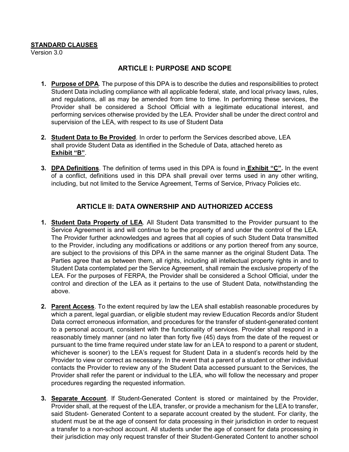#### **STANDARD CLAUSES**

Version 3.0

#### **ARTICLE I: PURPOSE AND SCOPE**

- **1. Purpose of DPA**. The purpose of this DPA is to describe the duties and responsibilities to protect Student Data including compliance with all applicable federal, state, and local privacy laws, rules, and regulations, all as may be amended from time to time. In performing these services, the Provider shall be considered a School Official with a legitimate educational interest, and performing services otherwise provided by the LEA. Provider shall be under the direct control and supervision of the LEA, with respect to its use of Student Data
- **2. Student Data to Be Provided**. In order to perform the Services described above, LEA shall provide Student Data as identified in the Schedule of Data, attached hereto as **Exhibit "B"**.
- **3. DPA Definitions**. The definition of terms used in this DPA is found in **Exhibit "C".** In the event of a conflict, definitions used in this DPA shall prevail over terms used in any other writing, including, but not limited to the Service Agreement, Terms of Service, Privacy Policies etc.

#### **ARTICLE II: DATA OWNERSHIP AND AUTHORIZED ACCESS**

- **1. Student Data Property of LEA**. All Student Data transmitted to the Provider pursuant to the Service Agreement is and will continue to be the property of and under the control of the LEA. The Provider further acknowledges and agrees that all copies of such Student Data transmitted to the Provider, including any modifications or additions or any portion thereof from any source, are subject to the provisions of this DPA in the same manner as the original Student Data. The Parties agree that as between them, all rights, including all intellectual property rights in and to Student Data contemplated per the Service Agreement, shall remain the exclusive property of the LEA. For the purposes of FERPA, the Provider shall be considered a School Official, under the control and direction of the LEA as it pertains to the use of Student Data, notwithstanding the above.
- **2. Parent Access**. To the extent required by law the LEA shall establish reasonable procedures by which a parent, legal guardian, or eligible student may review Education Records and/or Student Data correct erroneous information, and procedures for the transfer of student-generated content to a personal account, consistent with the functionality of services. Provider shall respond in a reasonably timely manner (and no later than forty five (45) days from the date of the request or pursuant to the time frame required under state law for an LEA to respond to a parent or student, whichever is sooner) to the LEA's request for Student Data in a student's records held by the Provider to view or correct as necessary. In the event that a parent of a student or other individual contacts the Provider to review any of the Student Data accessed pursuant to the Services, the Provider shall refer the parent or individual to the LEA, who will follow the necessary and proper procedures regarding the requested information.
- **3. Separate Account**. If Student-Generated Content is stored or maintained by the Provider, Provider shall, at the request of the LEA, transfer, or provide a mechanism for the LEA to transfer, said Student- Generated Content to a separate account created by the student. For clarity, the student must be at the age of consent for data processing in their jurisdiction in order to request a transfer to a non-school account. All students under the age of consent for data processing in their jurisdiction may only request transfer of their Student-Generated Content to another school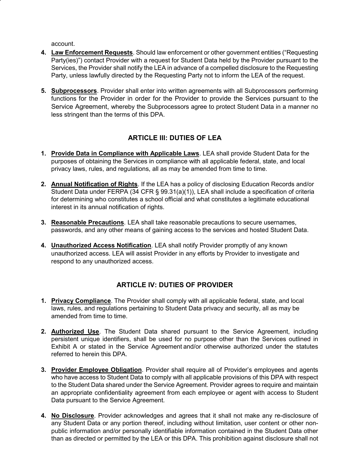account.

- **4. Law Enforcement Requests**. Should law enforcement or other government entities ("Requesting Party(ies)") contact Provider with a request for Student Data held by the Provider pursuant to the Services, the Provider shall notify the LEA in advance of a compelled disclosure to the Requesting Party, unless lawfully directed by the Requesting Party not to inform the LEA of the request.
- **5. Subprocessors**. Provider shall enter into written agreements with all Subprocessors performing functions for the Provider in order for the Provider to provide the Services pursuant to the Service Agreement, whereby the Subprocessors agree to protect Student Data in a manner no less stringent than the terms of this DPA.

## **ARTICLE III: DUTIES OF LEA**

- **1. Provide Data in Compliance with Applicable Laws**. LEA shall provide Student Data for the purposes of obtaining the Services in compliance with all applicable federal, state, and local privacy laws, rules, and regulations, all as may be amended from time to time.
- **2. Annual Notification of Rights**. If the LEA has a policy of disclosing Education Records and/or Student Data under FERPA (34 CFR § 99.31(a)(1)), LEA shall include a specification of criteria for determining who constitutes a school official and what constitutes a legitimate educational interest in its annual notification of rights.
- **3. Reasonable Precautions**. LEA shall take reasonable precautions to secure usernames, passwords, and any other means of gaining access to the services and hosted Student Data.
- **4. Unauthorized Access Notification**. LEA shall notify Provider promptly of any known unauthorized access. LEA will assist Provider in any efforts by Provider to investigate and respond to any unauthorized access.

#### **ARTICLE IV: DUTIES OF PROVIDER**

- **1. Privacy Compliance**. The Provider shall comply with all applicable federal, state, and local laws, rules, and regulations pertaining to Student Data privacy and security, all as may be amended from time to time.
- **2. Authorized Use**. The Student Data shared pursuant to the Service Agreement, including persistent unique identifiers, shall be used for no purpose other than the Services outlined in Exhibit A or stated in the Service Agreement and/or otherwise authorized under the statutes referred to herein this DPA.
- **3. Provider Employee Obligation**. Provider shall require all of Provider's employees and agents who have access to Student Data to comply with all applicable provisions of this DPA with respect to the Student Data shared under the Service Agreement. Provider agrees to require and maintain an appropriate confidentiality agreement from each employee or agent with access to Student Data pursuant to the Service Agreement.
- **4. No Disclosure**. Provider acknowledges and agrees that it shall not make any re-disclosure of any Student Data or any portion thereof, including without limitation, user content or other nonpublic information and/or personally identifiable information contained in the Student Data other than as directed or permitted by the LEA or this DPA. This prohibition against disclosure shall not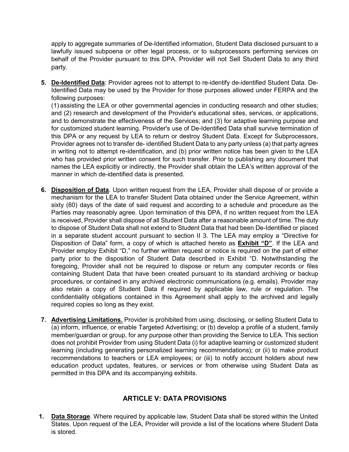apply to aggregate summaries of De-Identified information, Student Data disclosed pursuant to a lawfully issued subpoena or other legal process, or to subprocessors performing services on behalf of the Provider pursuant to this DPA. Provider will not Sell Student Data to any third party.

**5. De-Identified Data**: Provider agrees not to attempt to re-identify de-identified Student Data. De-Identified Data may be used by the Provider for those purposes allowed under FERPA and the following purposes:

(1) assisting the LEA or other governmental agencies in conducting research and other studies; and (2) research and development of the Provider's educational sites, services, or applications, and to demonstrate the effectiveness of the Services; and (3) for adaptive learning purpose and for customized student learning. Provider's use of De-Identified Data shall survive termination of this DPA or any request by LEA to return or destroy Student Data. Except for Subprocessors, Provider agrees not to transfer de- identified Student Data to any party unless (a) that party agrees in writing not to attempt re-identification, and (b) prior written notice has been given to the LEA who has provided prior written consent for such transfer. Prior to publishing any document that names the LEA explicitly or indirectly, the Provider shall obtain the LEA's written approval of the manner in which de-identified data is presented.

- **6. Disposition of Data**. Upon written request from the LEA, Provider shall dispose of or provide a mechanism for the LEA to transfer Student Data obtained under the Service Agreement, within sixty (60) days of the date of said request and according to a schedule and procedure as the Parties may reasonably agree. Upon termination of this DPA, if no written request from the LEA is received, Provider shall dispose of all Student Data after a reasonable amount of time. The duty to dispose of Student Data shall not extend to Student Data that had been De-Identified or placed in a separate student account pursuant to section II 3. The LEA may employ a "Directive for Disposition of Data" form, a copy of which is attached hereto as **Exhibit "D"**. If the LEA and Provider employ Exhibit "D," no further written request or notice is required on the part of either party prior to the disposition of Student Data described in Exhibit "D. Notwithstanding the foregoing, Provider shall not be required to dispose or return any computer records or files containing Student Data that have been created pursuant to its standard archiving or backup procedures, or contained in any archived electronic communications (e.g. emails). Provider may also retain a copy of Student Data if required by applicable law, rule or regulation. The confidentiality obligations contained in this Agreement shall apply to the archived and legally required copies so long as they exist.
- **7. Advertising Limitations.** Provider is prohibited from using, disclosing, or selling Student Data to (a) inform, influence, or enable Targeted Advertising; or (b) develop a profile of a student, family member/guardian or group, for any purpose other than providing the Service to LEA. This section does not prohibit Provider from using Student Data (i) for adaptive learning or customized student learning (including generating personalized learning recommendations); or (ii) to make product recommendations to teachers or LEA employees; or (iii) to notify account holders about new education product updates, features, or services or from otherwise using Student Data as permitted in this DPA and its accompanying exhibits.

#### **ARTICLE V: DATA PROVISIONS**

**1. Data Storage**. Where required by applicable law, Student Data shall be stored within the United States. Upon request of the LEA, Provider will provide a list of the locations where Student Data is stored.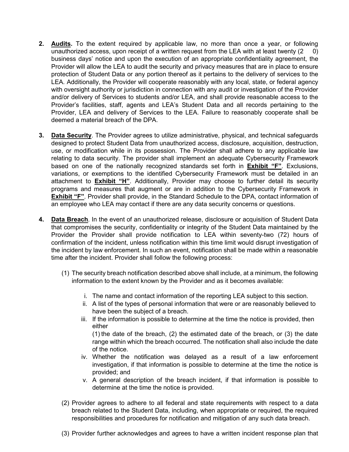- **2. Audits.** To the extent required by applicable law, no more than once a year, or following unauthorized access, upon receipt of a written request from the LEA with at least twenty  $(2 \ 0)$ business days' notice and upon the execution of an appropriate confidentiality agreement, the Provider will allow the LEA to audit the security and privacy measures that are in place to ensure protection of Student Data or any portion thereof as it pertains to the delivery of services to the LEA. Additionally, the Provider will cooperate reasonably with any local, state, or federal agency with oversight authority or jurisdiction in connection with any audit or investigation of the Provider and/or delivery of Services to students and/or LEA, and shall provide reasonable access to the Provider's facilities, staff, agents and LEA's Student Data and all records pertaining to the Provider, LEA and delivery of Services to the LEA. Failure to reasonably cooperate shall be deemed a material breach of the DPA.
- **3. Data Security**. The Provider agrees to utilize administrative, physical, and technical safeguards designed to protect Student Data from unauthorized access, disclosure, acquisition, destruction, use, or modification while in its possession. The Provider shall adhere to any applicable law relating to data security. The provider shall implement an adequate Cybersecurity Framework based on one of the nationally recognized standards set forth in **Exhibit "F"**. Exclusions, variations, or exemptions to the identified Cybersecurity Framework must be detailed in an attachment to **Exhibit "H"**. Additionally, Provider may choose to further detail its security programs and measures that augment or are in addition to the Cybersecurity Framework in **Exhibit "F"**. Provider shall provide, in the Standard Schedule to the DPA, contact information of an employee who LEA may contact if there are any data security concerns or questions.
- **4. Data Breach**. In the event of an unauthorized release, disclosure or acquisition of Student Data that compromises the security, confidentiality or integrity of the Student Data maintained by the Provider the Provider shall provide notification to LEA within seventy-two (72) hours of confirmation of the incident, unless notification within this time limit would disrupt investigation of the incident by law enforcement. In such an event, notification shall be made within a reasonable time after the incident. Provider shall follow the following process:
	- (1) The security breach notification described above shall include, at a minimum, the following information to the extent known by the Provider and as it becomes available:
		- i. The name and contact information of the reporting LEA subject to this section.
		- ii. A list of the types of personal information that were or are reasonably believed to have been the subject of a breach.
		- iii. If the information is possible to determine at the time the notice is provided, then either

(1) the date of the breach, (2) the estimated date of the breach, or (3) the date range within which the breach occurred. The notification shall also include the date of the notice.

- iv. Whether the notification was delayed as a result of a law enforcement investigation, if that information is possible to determine at the time the notice is provided; and
- v. A general description of the breach incident, if that information is possible to determine at the time the notice is provided.
- (2) Provider agrees to adhere to all federal and state requirements with respect to a data breach related to the Student Data, including, when appropriate or required, the required responsibilities and procedures for notification and mitigation of any such data breach.
- (3) Provider further acknowledges and agrees to have a written incident response plan that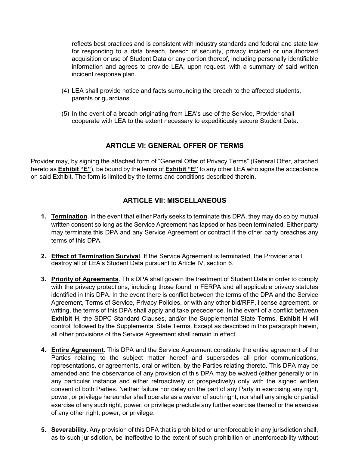reflects best practices and is consistent with industry standards and federal and state law for responding to a data breach, breach of security, privacy incident or unauthorized acquisition or use of Student Data or any portion thereof, including personally identifiable information and agrees to provide LEA, upon request, with a summary of said written incident response plan.

- (4) LEA shall provide notice and facts surrounding the breach to the affected students, parents or guardians.
- (5) In the event of a breach originating from LEA's use of the Service, Provider shall cooperate with LEA to the extent necessary to expeditiously secure Student Data.

#### **ARTICLE VI: GENERAL OFFER OF TERMS**

Provider may, by signing the attached form of "General Offer of Privacy Terms" (General Offer, attached hereto as **Exhibit "E"**), be bound by the terms of **Exhibit "E"** to any other LEA who signs the acceptance on said Exhibit. The form is limited by the terms and conditions described therein.

#### **ARTICLE VII: MISCELLANEOUS**

- **1. Termination**. In the event that either Party seeks to terminate this DPA, they may do so by mutual written consent so long as the Service Agreement has lapsed or has been terminated. Either party may terminate this DPA and any Service Agreement or contract if the other party breaches any terms of this DPA.
- **2. Effect of Termination Survival**. If the Service Agreement is terminated, the Provider shall destroy all of LEA's Student Data pursuant to Article IV, section 6.
- **3. Priority of Agreements**. This DPA shall govern the treatment of Student Data in order to comply with the privacy protections, including those found in FERPA and all applicable privacy statutes identified in this DPA. In the event there is conflict between the terms of the DPA and the Service Agreement, Terms of Service, Privacy Policies, or with any other bid/RFP, license agreement, or writing, the terms of this DPA shall apply and take precedence. In the event of a conflict between **Exhibit H**, the SDPC Standard Clauses, and/or the Supplemental State Terms, **Exhibit H** will control, followed by the Supplemental State Terms. Except as described in this paragraph herein, all other provisions of the Service Agreement shall remain in effect.
- **4. Entire Agreement**. This DPA and the Service Agreement constitute the entire agreement of the Parties relating to the subject matter hereof and supersedes all prior communications, representations, or agreements, oral or written, by the Parties relating thereto. This DPA may be amended and the observance of any provision of this DPA may be waived (either generally or in any particular instance and either retroactively or prospectively) only with the signed written consent of both Parties. Neither failure nor delay on the part of any Party in exercising any right, power, or privilege hereunder shall operate as a waiver of such right, nor shall any single or partial exercise of any such right, power, or privilege preclude any further exercise thereof or the exercise of any other right, power, or privilege.
- **5. Severability**. Any provision of this DPA that is prohibited or unenforceable in any jurisdiction shall, as to such jurisdiction, be ineffective to the extent of such prohibition or unenforceability without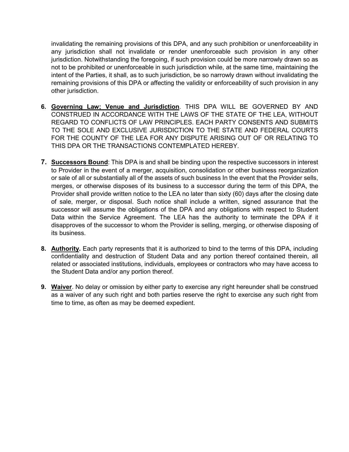invalidating the remaining provisions of this DPA, and any such prohibition or unenforceability in any jurisdiction shall not invalidate or render unenforceable such provision in any other jurisdiction. Notwithstanding the foregoing, if such provision could be more narrowly drawn so as not to be prohibited or unenforceable in such jurisdiction while, at the same time, maintaining the intent of the Parties, it shall, as to such jurisdiction, be so narrowly drawn without invalidating the remaining provisions of this DPA or affecting the validity or enforceability of such provision in any other jurisdiction.

- **6. Governing Law; Venue and Jurisdiction**. THIS DPA WILL BE GOVERNED BY AND CONSTRUED IN ACCORDANCE WITH THE LAWS OF THE STATE OF THE LEA, WITHOUT REGARD TO CONFLICTS OF LAW PRINCIPLES. EACH PARTY CONSENTS AND SUBMITS TO THE SOLE AND EXCLUSIVE JURISDICTION TO THE STATE AND FEDERAL COURTS FOR THE COUNTY OF THE LEA FOR ANY DISPUTE ARISING OUT OF OR RELATING TO THIS DPA OR THE TRANSACTIONS CONTEMPLATED HEREBY.
- **7. Successors Bound**: This DPA is and shall be binding upon the respective successors in interest to Provider in the event of a merger, acquisition, consolidation or other business reorganization or sale of all or substantially all of the assets of such business In the event that the Provider sells, merges, or otherwise disposes of its business to a successor during the term of this DPA, the Provider shall provide written notice to the LEA no later than sixty (60) days after the closing date of sale, merger, or disposal. Such notice shall include a written, signed assurance that the successor will assume the obligations of the DPA and any obligations with respect to Student Data within the Service Agreement. The LEA has the authority to terminate the DPA if it disapproves of the successor to whom the Provider is selling, merging, or otherwise disposing of its business.
- **8. Authority.** Each party represents that it is authorized to bind to the terms of this DPA, including confidentiality and destruction of Student Data and any portion thereof contained therein, all related or associated institutions, individuals, employees or contractors who may have access to the Student Data and/or any portion thereof.
- **9. Waiver**. No delay or omission by either party to exercise any right hereunder shall be construed as a waiver of any such right and both parties reserve the right to exercise any such right from time to time, as often as may be deemed expedient.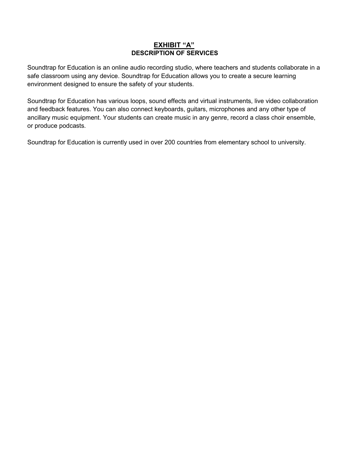#### **EXHIBIT "A" DESCRIPTION OF SERVICES**

Soundtrap for Education is an online audio recording studio, where teachers and students collaborate in a safe classroom using any device. Soundtrap for Education allows you to create a secure learning environment designed to ensure the safety of your students.

Soundtrap for Education has various loops, sound effects and virtual instruments, live video collaboration and feedback features. You can also connect keyboards, guitars, microphones and any other type of ancillary music equipment. Your students can create music in any genre, record a class choir ensemble, or produce podcasts.

Soundtrap for Education is currently used in over 200 countries from elementary school to university.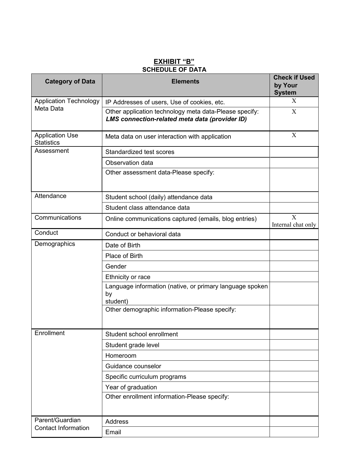#### **EXHIBIT "B" SCHEDULE OF DATA**

| <b>Category of Data</b><br><b>Elements</b>  |                                                                                                          | <b>Check if Used</b><br>by Your<br><b>System</b> |
|---------------------------------------------|----------------------------------------------------------------------------------------------------------|--------------------------------------------------|
| <b>Application Technology</b>               | IP Addresses of users, Use of cookies, etc.                                                              | X                                                |
| Meta Data                                   | Other application technology meta data-Please specify:<br>LMS connection-related meta data (provider ID) | X                                                |
| <b>Application Use</b><br><b>Statistics</b> | Meta data on user interaction with application                                                           | X                                                |
| Assessment                                  | Standardized test scores                                                                                 |                                                  |
|                                             | Observation data                                                                                         |                                                  |
|                                             | Other assessment data-Please specify:                                                                    |                                                  |
| Attendance                                  | Student school (daily) attendance data                                                                   |                                                  |
|                                             | Student class attendance data                                                                            |                                                  |
| Communications                              | Online communications captured (emails, blog entries)                                                    | X<br>Internal chat only                          |
| Conduct                                     | Conduct or behavioral data                                                                               |                                                  |
| Demographics                                | Date of Birth                                                                                            |                                                  |
|                                             | Place of Birth                                                                                           |                                                  |
|                                             | Gender                                                                                                   |                                                  |
|                                             | Ethnicity or race                                                                                        |                                                  |
|                                             | Language information (native, or primary language spoken<br>by<br>student)                               |                                                  |
|                                             | Other demographic information-Please specify:                                                            |                                                  |
| Enrollment                                  | Student school enrollment                                                                                |                                                  |
|                                             | Student grade level                                                                                      |                                                  |
|                                             | Homeroom                                                                                                 |                                                  |
|                                             | Guidance counselor                                                                                       |                                                  |
|                                             | Specific curriculum programs                                                                             |                                                  |
|                                             | Year of graduation                                                                                       |                                                  |
|                                             | Other enrollment information-Please specify:                                                             |                                                  |
| Parent/Guardian                             | <b>Address</b>                                                                                           |                                                  |
| <b>Contact Information</b>                  | Email                                                                                                    |                                                  |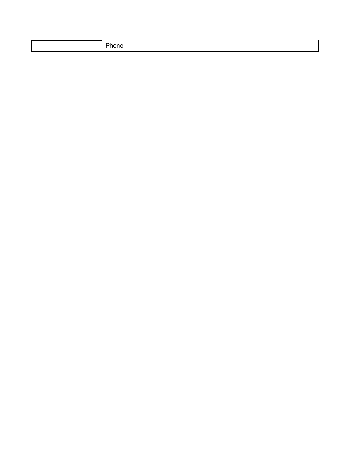|--|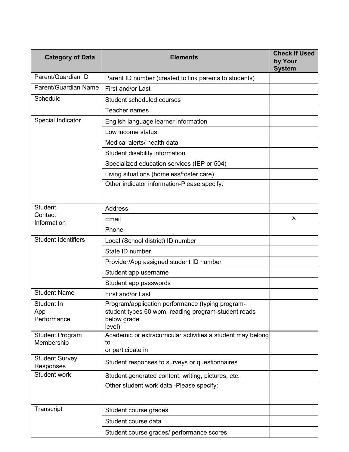| <b>Category of Data</b>                                                                                                        | <b>Elements</b>                                                                                                                  |   |
|--------------------------------------------------------------------------------------------------------------------------------|----------------------------------------------------------------------------------------------------------------------------------|---|
| Parent/Guardian ID                                                                                                             | Parent ID number (created to link parents to students)                                                                           |   |
| Parent/Guardian Name                                                                                                           | First and/or Last                                                                                                                |   |
| Schedule                                                                                                                       | Student scheduled courses                                                                                                        |   |
|                                                                                                                                | Teacher names                                                                                                                    |   |
| Special Indicator                                                                                                              | English language learner information                                                                                             |   |
|                                                                                                                                | Low income status                                                                                                                |   |
|                                                                                                                                | Medical alerts/ health data                                                                                                      |   |
|                                                                                                                                | Student disability information                                                                                                   |   |
|                                                                                                                                | Specialized education services (IEP or 504)                                                                                      |   |
|                                                                                                                                | Living situations (homeless/foster care)                                                                                         |   |
|                                                                                                                                | Other indicator information-Please specify:                                                                                      |   |
| <b>Student</b>                                                                                                                 | <b>Address</b>                                                                                                                   |   |
| Contact<br>Information                                                                                                         | Email                                                                                                                            | X |
|                                                                                                                                | Phone                                                                                                                            |   |
| <b>Student Identifiers</b>                                                                                                     | Local (School district) ID number                                                                                                |   |
|                                                                                                                                | State ID number                                                                                                                  |   |
|                                                                                                                                | Provider/App assigned student ID number                                                                                          |   |
|                                                                                                                                | Student app username                                                                                                             |   |
|                                                                                                                                | Student app passwords                                                                                                            |   |
| <b>Student Name</b><br>First and/or Last                                                                                       |                                                                                                                                  |   |
| Student In<br>App<br>Performance                                                                                               | Program/application performance (typing program-<br>student types 60 wpm, reading program-student reads<br>below grade<br>level) |   |
| Academic or extracurricular activities a student may belong<br><b>Student Program</b><br>Membership<br>to<br>or participate in |                                                                                                                                  |   |
| <b>Student Survey</b><br>Student responses to surveys or questionnaires<br>Responses                                           |                                                                                                                                  |   |
| <b>Student work</b>                                                                                                            | Student generated content; writing, pictures, etc.                                                                               |   |
|                                                                                                                                | Other student work data -Please specify:                                                                                         |   |
| Transcript                                                                                                                     | Student course grades                                                                                                            |   |
|                                                                                                                                | Student course data                                                                                                              |   |
|                                                                                                                                | Student course grades/ performance scores                                                                                        |   |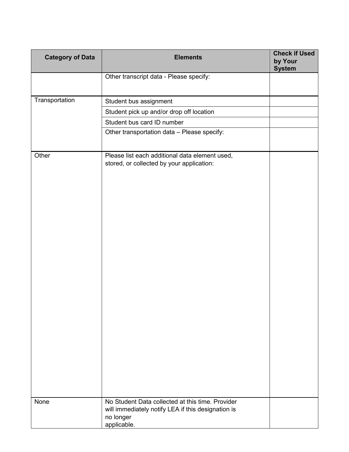| <b>Category of Data</b> | <b>Elements</b>                                                                                                                    | <b>Check if Used</b><br>by Your<br><b>System</b> |
|-------------------------|------------------------------------------------------------------------------------------------------------------------------------|--------------------------------------------------|
|                         | Other transcript data - Please specify:                                                                                            |                                                  |
| Transportation          | Student bus assignment                                                                                                             |                                                  |
|                         | Student pick up and/or drop off location                                                                                           |                                                  |
|                         | Student bus card ID number                                                                                                         |                                                  |
|                         | Other transportation data - Please specify:                                                                                        |                                                  |
| Other                   | Please list each additional data element used,<br>stored, or collected by your application:                                        |                                                  |
| None                    | No Student Data collected at this time. Provider<br>will immediately notify LEA if this designation is<br>no longer<br>applicable. |                                                  |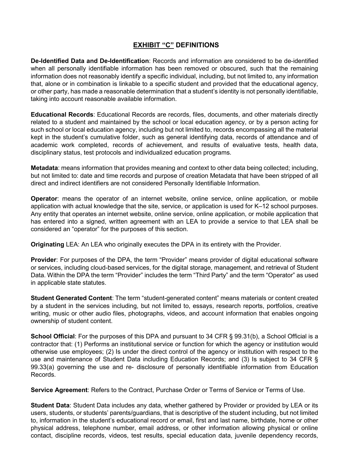#### **EXHIBIT "C" DEFINITIONS**

**De-Identified Data and De-Identification**: Records and information are considered to be de-identified when all personally identifiable information has been removed or obscured, such that the remaining information does not reasonably identify a specific individual, including, but not limited to, any information that, alone or in combination is linkable to a specific student and provided that the educational agency, or other party, has made a reasonable determination that a student's identity is not personally identifiable, taking into account reasonable available information.

**Educational Records**: Educational Records are records, files, documents, and other materials directly related to a student and maintained by the school or local education agency, or by a person acting for such school or local education agency, including but not limited to, records encompassing all the material kept in the student's cumulative folder, such as general identifying data, records of attendance and of academic work completed, records of achievement, and results of evaluative tests, health data, disciplinary status, test protocols and individualized education programs.

**Metadata**: means information that provides meaning and context to other data being collected; including, but not limited to: date and time records and purpose of creation Metadata that have been stripped of all direct and indirect identifiers are not considered Personally Identifiable Information.

**Operator**: means the operator of an internet website, online service, online application, or mobile application with actual knowledge that the site, service, or application is used for K–12 school purposes. Any entity that operates an internet website, online service, online application, or mobile application that has entered into a signed, written agreement with an LEA to provide a service to that LEA shall be considered an "operator" for the purposes of this section.

**Originating** LEA: An LEA who originally executes the DPA in its entirety with the Provider.

**Provider**: For purposes of the DPA, the term "Provider" means provider of digital educational software or services, including cloud-based services, for the digital storage, management, and retrieval of Student Data. Within the DPA the term "Provider" includes the term "Third Party" and the term "Operator" as used in applicable state statutes.

**Student Generated Content**: The term "student-generated content" means materials or content created by a student in the services including, but not limited to, essays, research reports, portfolios, creative writing, music or other audio files, photographs, videos, and account information that enables ongoing ownership of student content.

**School Official**: For the purposes of this DPA and pursuant to 34 CFR § 99.31(b), a School Official is a contractor that: (1) Performs an institutional service or function for which the agency or institution would otherwise use employees; (2) Is under the direct control of the agency or institution with respect to the use and maintenance of Student Data including Education Records; and (3) Is subject to 34 CFR § 99.33(a) governing the use and re- disclosure of personally identifiable information from Education Records.

**Service Agreement**: Refers to the Contract, Purchase Order or Terms of Service or Terms of Use.

**Student Data**: Student Data includes any data, whether gathered by Provider or provided by LEA or its users, students, or students' parents/guardians, that is descriptive of the student including, but not limited to, information in the student's educational record or email, first and last name, birthdate, home or other physical address, telephone number, email address, or other information allowing physical or online contact, discipline records, videos, test results, special education data, juvenile dependency records,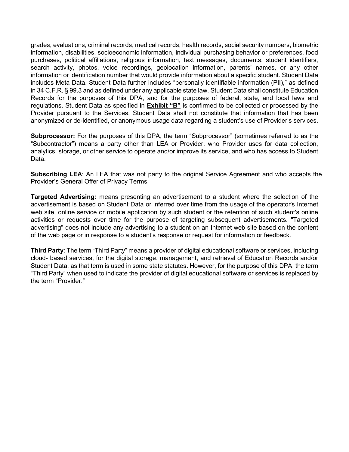grades, evaluations, criminal records, medical records, health records, social security numbers, biometric information, disabilities, socioeconomic information, individual purchasing behavior or preferences, food purchases, political affiliations, religious information, text messages, documents, student identifiers, search activity, photos, voice recordings, geolocation information, parents' names, or any other information or identification number that would provide information about a specific student. Student Data includes Meta Data. Student Data further includes "personally identifiable information (PII)," as defined in 34 C.F.R. § 99.3 and as defined under any applicable state law. Student Data shall constitute Education Records for the purposes of this DPA, and for the purposes of federal, state, and local laws and regulations. Student Data as specified in **Exhibit "B"** is confirmed to be collected or processed by the Provider pursuant to the Services. Student Data shall not constitute that information that has been anonymized or de-identified, or anonymous usage data regarding a student's use of Provider's services.

**Subprocessor:** For the purposes of this DPA, the term "Subprocessor" (sometimes referred to as the "Subcontractor") means a party other than LEA or Provider, who Provider uses for data collection, analytics, storage, or other service to operate and/or improve its service, and who has access to Student Data.

**Subscribing LEA**: An LEA that was not party to the original Service Agreement and who accepts the Provider's General Offer of Privacy Terms.

**Targeted Advertising:** means presenting an advertisement to a student where the selection of the advertisement is based on Student Data or inferred over time from the usage of the operator's Internet web site, online service or mobile application by such student or the retention of such student's online activities or requests over time for the purpose of targeting subsequent advertisements. "Targeted advertising" does not include any advertising to a student on an Internet web site based on the content of the web page or in response to a student's response or request for information or feedback.

**Third Party**: The term "Third Party" means a provider of digital educational software or services, including cloud- based services, for the digital storage, management, and retrieval of Education Records and/or Student Data, as that term is used in some state statutes. However, for the purpose of this DPA, the term "Third Party" when used to indicate the provider of digital educational software or services is replaced by the term "Provider."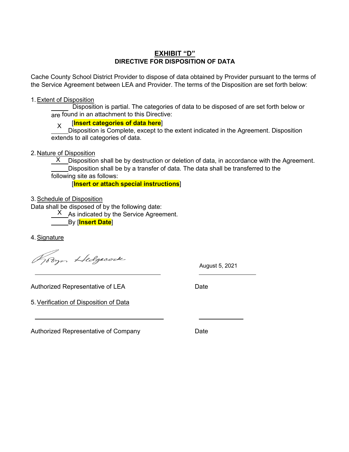#### **EXHIBIT "D" DIRECTIVE FOR DISPOSITION OF DATA**

Cache County School District Provider to dispose of data obtained by Provider pursuant to the terms of the Service Agreement between LEA and Provider. The terms of the Disposition are set forth below:

#### 1.Extent of Disposition

 Disposition is partial. The categories of data to be disposed of are set forth below or are found in an attachment to this Directive:

#### [**Insert categories of data here**] X

Disposition is Complete, except to the extent indicated in the Agreement. Disposition extends to all categories of data.

2. Nature of Disposition

 $\times$  \_Disposition shall be by destruction or deletion of data, in accordance with the Agreement. Disposition shall be by a transfer of data. The data shall be transferred to the following site as follows:

[**Insert or attach special instructions**]

3.Schedule of Disposition

Data shall be disposed of by the following date:

 $X$  As indicated by the Service Agreement.

By [**Insert Date**]

4.Signature

Jobyn Hedgecock

August 5, 2021

Authorized Representative of LEA Date

5.Verification of Disposition of Data

Authorized Representative of Company Date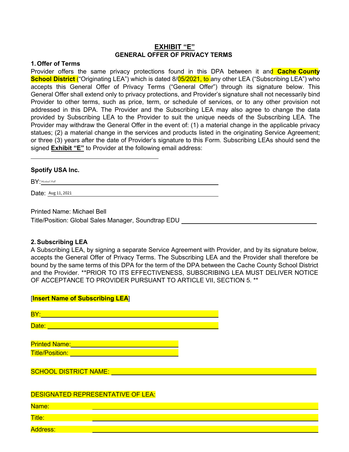#### **EXHIBIT "E" GENERAL OFFER OF PRIVACY TERMS**

#### **1. Offer of Terms**

Provider offers the same privacy protections found in this DPA between it and **Cache County School District** ("Originating LEA") which is dated 8/05/2021, to any other LEA ("Subscribing LEA") who accepts this General Offer of Privacy Terms ("General Offer") through its signature below. This General Offer shall extend only to privacy protections, and Provider's signature shall not necessarily bind Provider to other terms, such as price, term, or schedule of services, or to any other provision not addressed in this DPA. The Provider and the Subscribing LEA may also agree to change the data provided by Subscribing LEA to the Provider to suit the unique needs of the Subscribing LEA. The Provider may withdraw the General Offer in the event of: (1) a material change in the applicable privacy statues; (2) a material change in the services and products listed in the originating Service Agreement; or three (3) years after the date of Provider's signature to this Form. Subscribing LEAs should send the signed **Exhibit "E"** to Provider at the following email address:

#### **Spotify USA Inc.**

 $BY:$ Michael Bell

Date: Aug 11, 2021

Printed Name: Michael Bell

[**Insert Name of Subscribing LEA**]

Title/Position: Global Sales Manager, Soundtrap EDU

#### **2.Subscribing LEA**

A Subscribing LEA, by signing a separate Service Agreement with Provider, and by its signature below, accepts the General Offer of Privacy Terms. The Subscribing LEA and the Provider shall therefore be bound by the same terms of this DPA for the term of the DPA between the Cache County School District and the Provider. \*\*PRIOR TO ITS EFFECTIVENESS, SUBSCRIBING LEA MUST DELIVER NOTICE OF ACCEPTANCE TO PROVIDER PURSUANT TO ARTICLE VII, SECTION 5. \*\*

| BY:                          |  |
|------------------------------|--|
| Date:                        |  |
|                              |  |
| <b>Printed Name:</b>         |  |
| <b>Title/Position:</b>       |  |
|                              |  |
| <b>SCHOOL DISTRICT NAME:</b> |  |

#### DESIGNATED REPRESENTATIVE OF LEA:

Name:

Title:

Address: Address: Address: Address: Address: Address: Address: Address: Address: Address: Address: A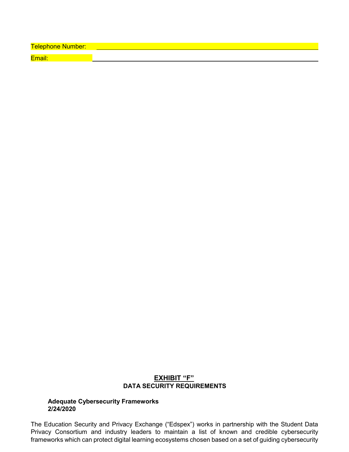Telephone Number: \_\_\_\_ Email:

#### **EXHIBIT "F" DATA SECURITY REQUIREMENTS**

#### **Adequate Cybersecurity Frameworks 2/24/2020**

The Education Security and Privacy Exchange ("Edspex") works in partnership with the Student Data Privacy Consortium and industry leaders to maintain a list of known and credible cybersecurity frameworks which can protect digital learning ecosystems chosen based on a set of guiding cybersecurity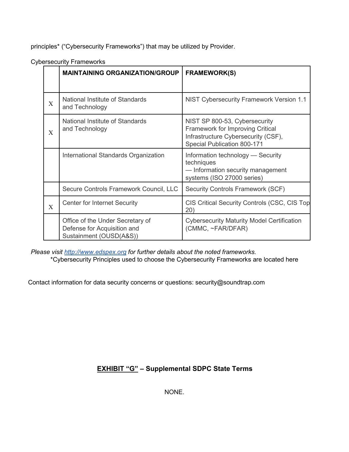principles\* ("Cybersecurity Frameworks") that may be utilized by Provider.

|              | <b>MAINTAINING ORGANIZATION/GROUP</b>                                                      | <b>FRAMEWORK(S)</b>                                                                                                                            |
|--------------|--------------------------------------------------------------------------------------------|------------------------------------------------------------------------------------------------------------------------------------------------|
|              |                                                                                            |                                                                                                                                                |
| X            | National Institute of Standards<br>and Technology                                          | NIST Cybersecurity Framework Version 1.1                                                                                                       |
| X            | National Institute of Standards<br>and Technology                                          | NIST SP 800-53, Cybersecurity<br><b>Framework for Improving Critical</b><br>Infrastructure Cybersecurity (CSF),<br>Special Publication 800-171 |
|              | International Standards Organization                                                       | Information technology - Security<br>techniques<br>- Information security management<br>systems (ISO 27000 series)                             |
|              | Secure Controls Framework Council, LLC                                                     | Security Controls Framework (SCF)                                                                                                              |
| $\mathbf{X}$ | <b>Center for Internet Security</b>                                                        | CIS Critical Security Controls (CSC, CIS Top<br>20)                                                                                            |
|              | Office of the Under Secretary of<br>Defense for Acquisition and<br>Sustainment (OUSD(A&S)) | <b>Cybersecurity Maturity Model Certification</b><br>(CMMC, ~FAR/DFAR)                                                                         |

Cybersecurity Frameworks

*Please visit http://www.edspex.org for further details about the noted frameworks.* \*Cybersecurity Principles used to choose the Cybersecurity Frameworks are located here

Contact information for data security concerns or questions: security@soundtrap.com

## **EXHIBIT "G" – Supplemental SDPC State Terms**

NONE.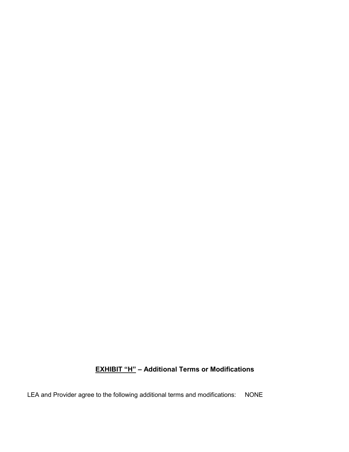## **EXHIBIT "H" – Additional Terms or Modifications**

LEA and Provider agree to the following additional terms and modifications: NONE